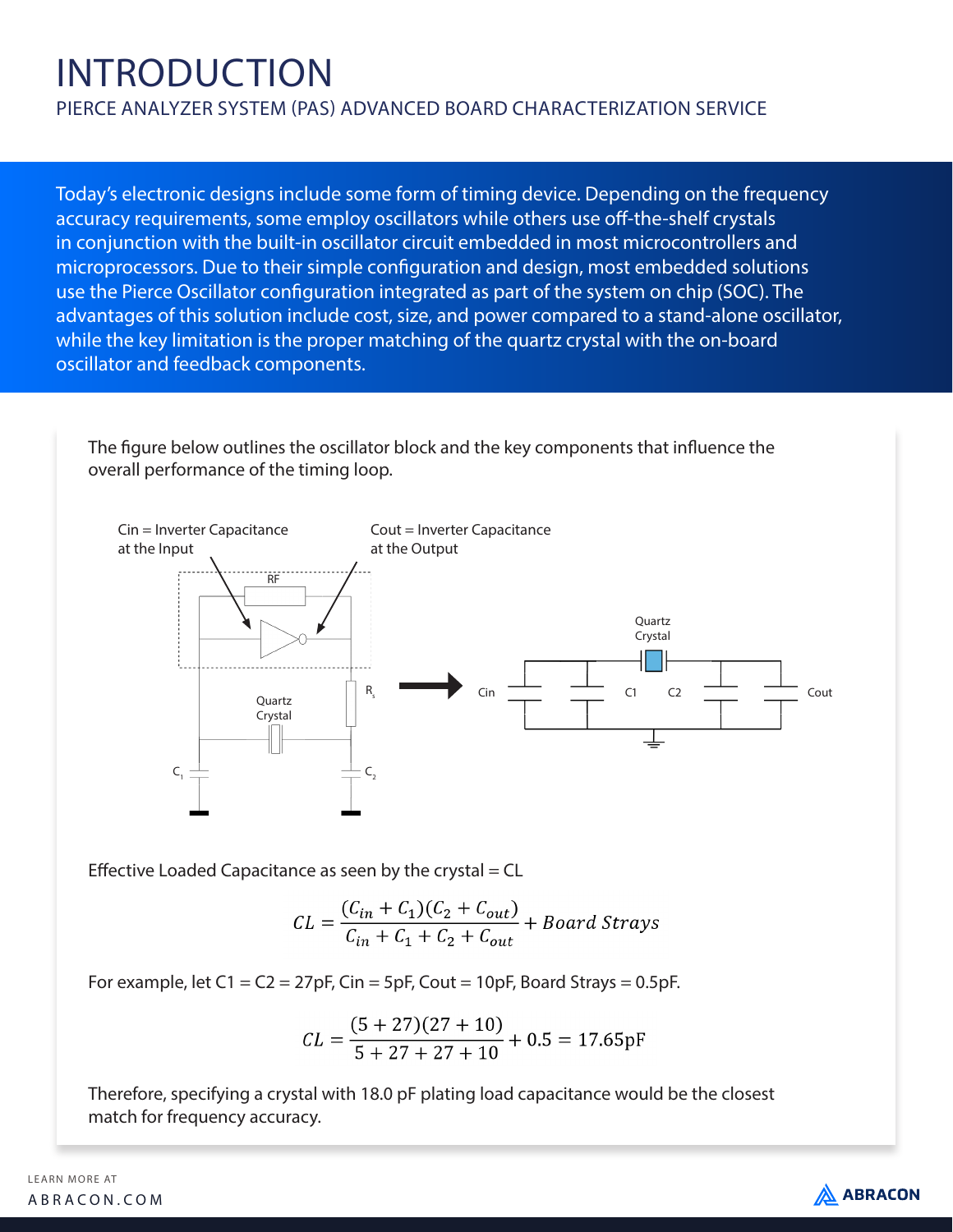# INTRODUCTION

PIERCE ANALYZER SYSTEM (PAS) ADVANCED BOARD CHARACTERIZATION SERVICE

Today's electronic designs include some form of timing device. Depending on the frequency accuracy requirements, some employ oscillators while others use off-the-shelf crystals in conjunction with the built-in oscillator circuit embedded in most microcontrollers and microprocessors. Due to their simple configuration and design, most embedded solutions use the Pierce Oscillator configuration integrated as part of the system on chip (SOC). The advantages of this solution include cost, size, and power compared to a stand-alone oscillator, while the key limitation is the proper matching of the quartz crystal with the on-board oscillator and feedback components.

The figure below outlines the oscillator block and the key components that influence the overall performance of the timing loop.



Effective Loaded Capacitance as seen by the crystal  $=$  CL

$$
CL = \frac{(C_{in} + C_1)(C_2 + C_{out})}{C_{in} + C_1 + C_2 + C_{out}} + Board \text{Strays}
$$

For example, let  $C1 = C2 = 27pF$ , Cin = 5pF, Cout = 10pF, Board Strays = 0.5pF.

$$
CL = \frac{(5+27)(27+10)}{5+27+27+10} + 0.5 = 17.65pF
$$

Therefore, specifying a crystal with 18.0 pF plating load capacitance would be the closest match for frequency accuracy.

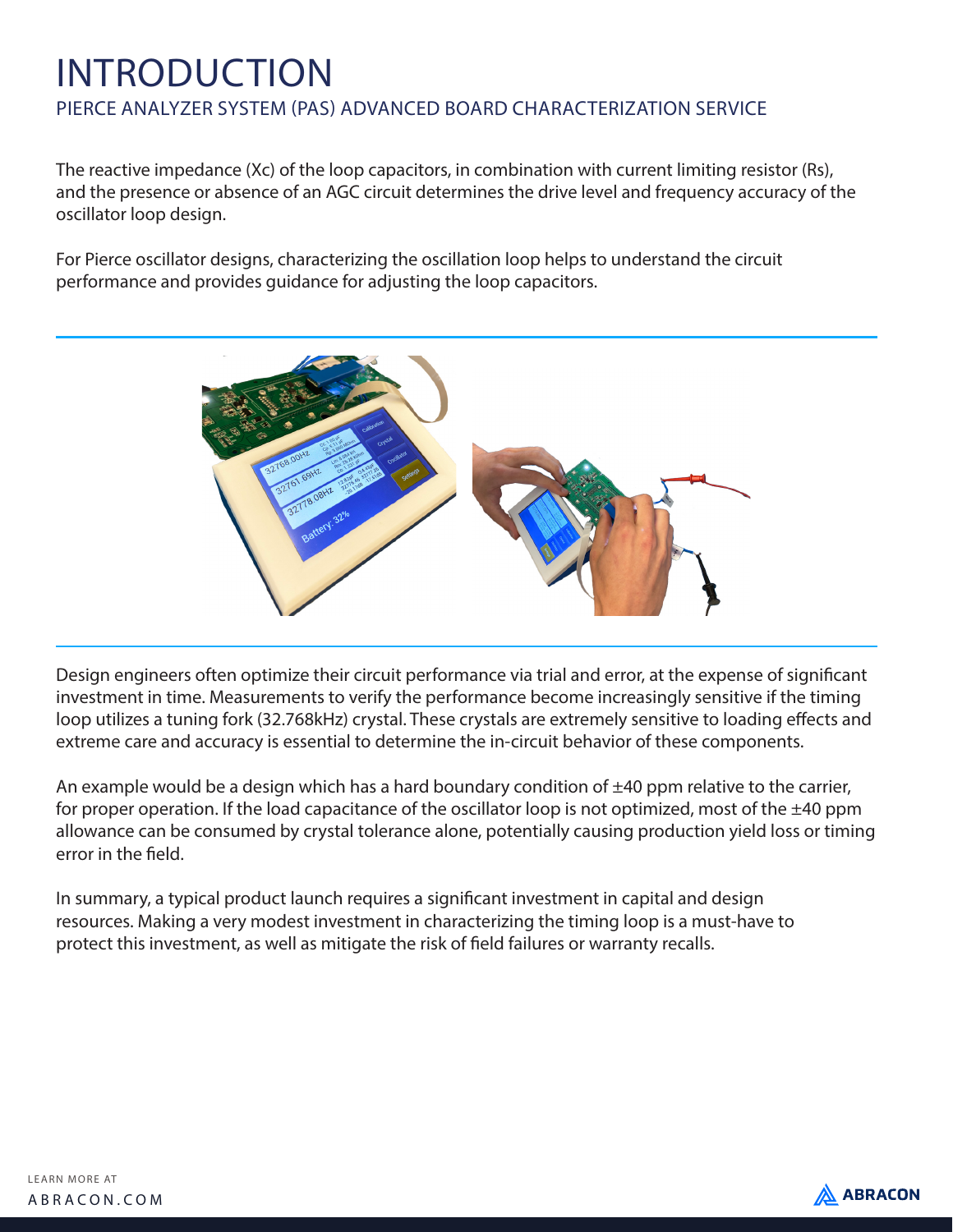### INTRODUCTION PIERCE ANALYZER SYSTEM (PAS) ADVANCED BOARD CHARACTERIZATION SERVICE

The reactive impedance (Xc) of the loop capacitors, in combination with current limiting resistor (Rs), and the presence or absence of an AGC circuit determines the drive level and frequency accuracy of the oscillator loop design.

For Pierce oscillator designs, characterizing the oscillation loop helps to understand the circuit performance and provides guidance for adjusting the loop capacitors.



Design engineers often optimize their circuit performance via trial and error, at the expense of significant investment in time. Measurements to verify the performance become increasingly sensitive if the timing loop utilizes a tuning fork (32.768kHz) crystal. These crystals are extremely sensitive to loading effects and extreme care and accuracy is essential to determine the in-circuit behavior of these components.

An example would be a design which has a hard boundary condition of  $\pm 40$  ppm relative to the carrier, for proper operation. If the load capacitance of the oscillator loop is not optimized, most of the  $\pm 40$  ppm allowance can be consumed by crystal tolerance alone, potentially causing production yield loss or timing error in the field.

In summary, a typical product launch requires a significant investment in capital and design resources. Making a very modest investment in characterizing the timing loop is a must-have to protect this investment, as well as mitigate the risk of field failures or warranty recalls.

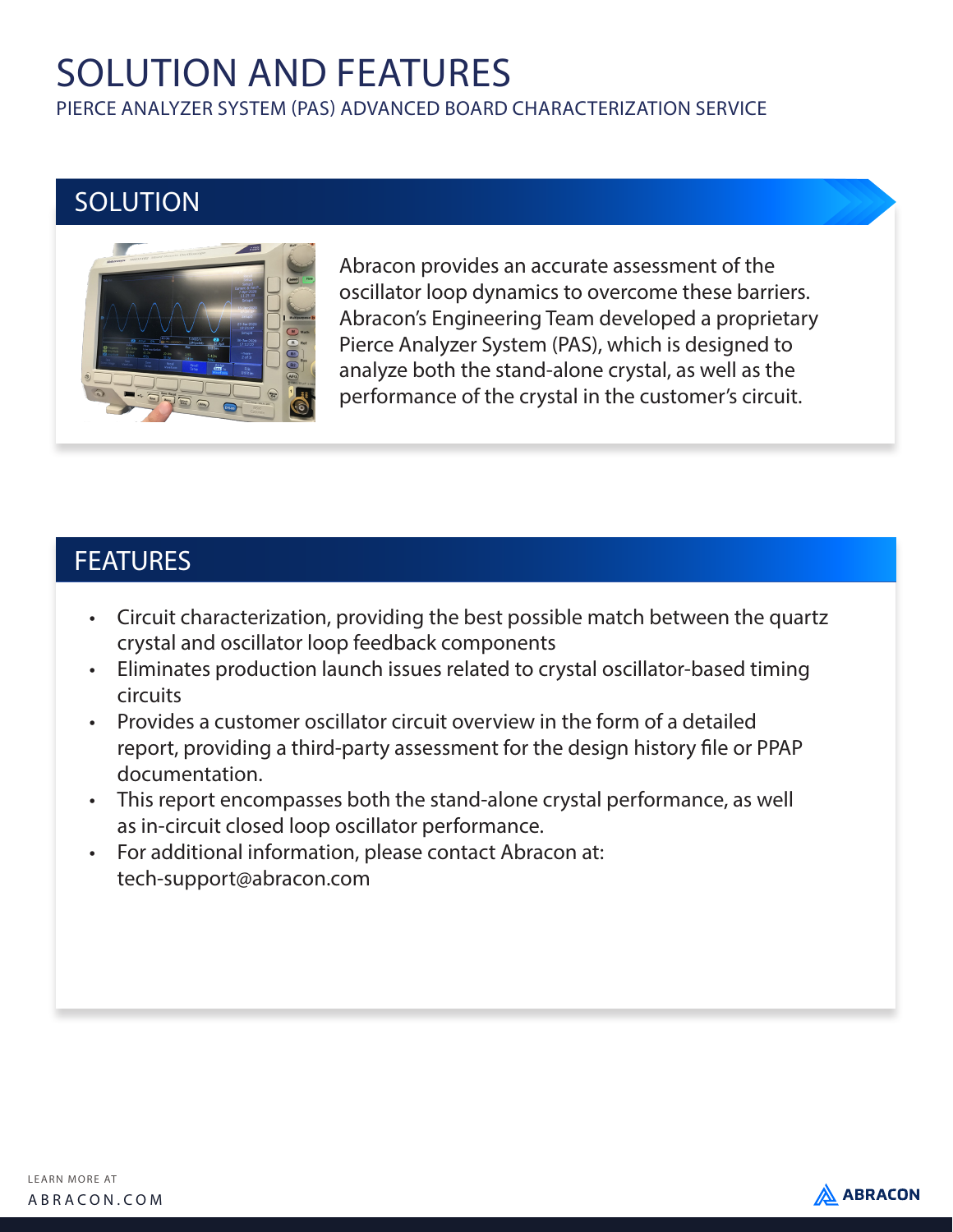# SOLUTION AND FEATURES

PIERCE ANALYZER SYSTEM (PAS) ADVANCED BOARD CHARACTERIZATION SERVICE

### **SOLUTION**



Abracon provides an accurate assessment of the oscillator loop dynamics to overcome these barriers. Abracon's Engineering Team developed a proprietary Pierce Analyzer System (PAS), which is designed to analyze both the stand-alone crystal, as well as the performance of the crystal in the customer's circuit.

#### **FEATURES**

- Circuit characterization, providing the best possible match between the quartz crystal and oscillator loop feedback components
- Eliminates production launch issues related to crystal oscillator-based timing circuits
- Provides a customer oscillator circuit overview in the form of a detailed report, providing a third-party assessment for the design history file or PPAP documentation.
- This report encompasses both the stand-alone crystal performance, as well as in-circuit closed loop oscillator performance.
- For additional information, please contact Abracon at: tech-support@abracon.com